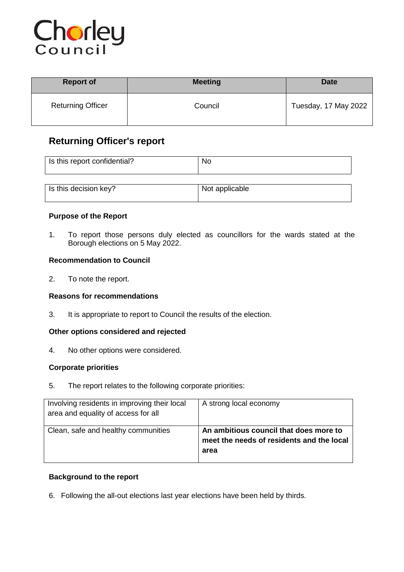

| <b>Report of</b>         | <b>Meeting</b> | <b>Date</b>          |
|--------------------------|----------------|----------------------|
| <b>Returning Officer</b> | Council        | Tuesday, 17 May 2022 |

## **Returning Officer's report**

| Is this report confidential? | N0 |
|------------------------------|----|
|                              |    |

| Is this decision key? | Not applicable |
|-----------------------|----------------|
|-----------------------|----------------|

## **Purpose of the Report**

1. To report those persons duly elected as councillors for the wards stated at the Borough elections on 5 May 2022.

### **Recommendation to Council**

2. To note the report.

### **Reasons for recommendations**

3. It is appropriate to report to Council the results of the election.

## **Other options considered and rejected**

4. No other options were considered.

### **Corporate priorities**

5. The report relates to the following corporate priorities:

| Involving residents in improving their local<br>area and equality of access for all | A strong local economy                                                                      |
|-------------------------------------------------------------------------------------|---------------------------------------------------------------------------------------------|
| Clean, safe and healthy communities                                                 | An ambitious council that does more to<br>meet the needs of residents and the local<br>area |

### **Background to the report**

6. Following the all-out elections last year elections have been held by thirds.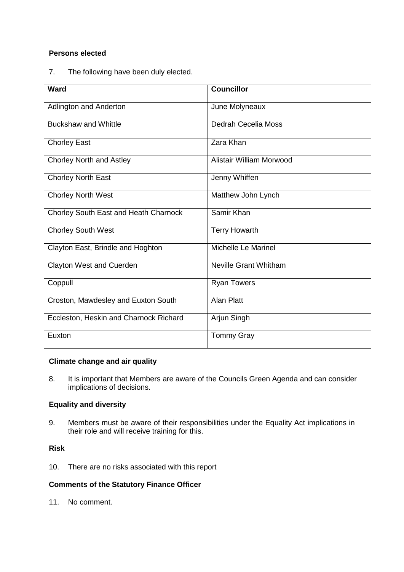## **Persons elected**

7. The following have been duly elected.

| Ward                                   | <b>Councillor</b>            |
|----------------------------------------|------------------------------|
| Adlington and Anderton                 | June Molyneaux               |
|                                        |                              |
| <b>Buckshaw and Whittle</b>            | Dedrah Cecelia Moss          |
| <b>Chorley East</b>                    | Zara Khan                    |
| <b>Chorley North and Astley</b>        | Alistair William Morwood     |
| <b>Chorley North East</b>              | Jenny Whiffen                |
| <b>Chorley North West</b>              | Matthew John Lynch           |
| Chorley South East and Heath Charnock  | Samir Khan                   |
| <b>Chorley South West</b>              | <b>Terry Howarth</b>         |
| Clayton East, Brindle and Hoghton      | Michelle Le Marinel          |
| <b>Clayton West and Cuerden</b>        | <b>Neville Grant Whitham</b> |
| Coppull                                | <b>Ryan Towers</b>           |
| Croston, Mawdesley and Euxton South    | Alan Platt                   |
| Eccleston, Heskin and Charnock Richard | Arjun Singh                  |
| Euxton                                 | <b>Tommy Gray</b>            |

## **Climate change and air quality**

8. It is important that Members are aware of the Councils Green Agenda and can consider implications of decisions.

## **Equality and diversity**

9. Members must be aware of their responsibilities under the Equality Act implications in their role and will receive training for this.

## **Risk**

10. There are no risks associated with this report

## **Comments of the Statutory Finance Officer**

11. No comment.